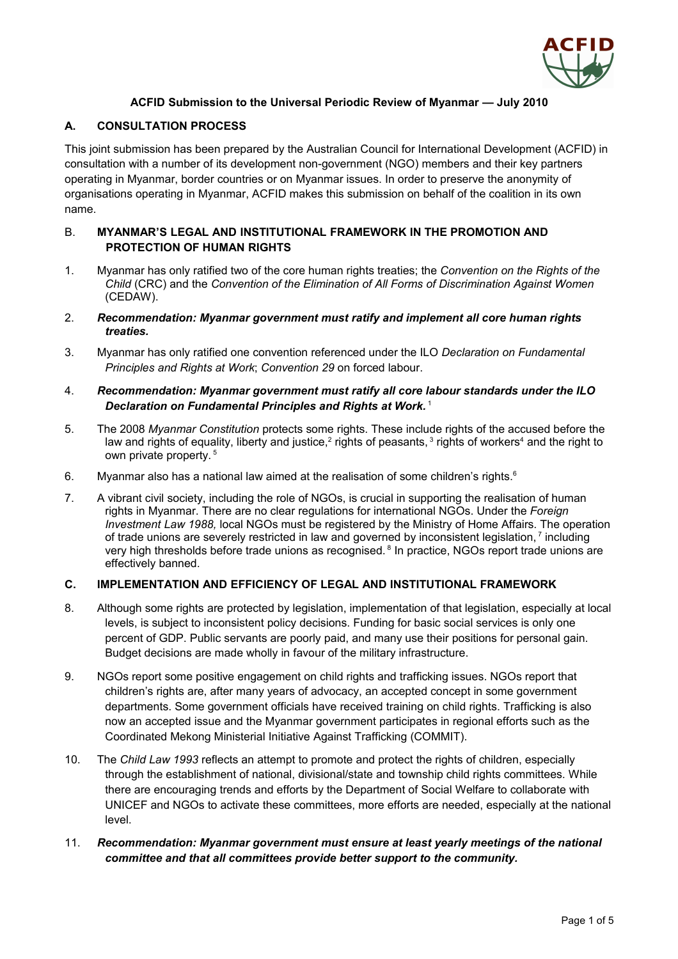

# **ACFID Submission to the Universal Periodic Review of Myanmar — July 2010**

# **A. CONSULTATION PROCESS**

This joint submission has been prepared by the Australian Council for International Development (ACFID) in consultation with a number of its development non-government (NGO) members and their key partners operating in Myanmar, border countries or on Myanmar issues. In order to preserve the anonymity of organisations operating in Myanmar, ACFID makes this submission on behalf of the coalition in its own name.

### B. **MYANMAR'S LEGAL AND INSTITUTIONAL FRAMEWORK IN THE PROMOTION AND PROTECTION OF HUMAN RIGHTS**

- 1. Myanmar has only ratified two of the core human rights treaties; the *Convention on the Rights of the Child* (CRC) and the *Convention of the Elimination of All Forms of Discrimination Against Women* (CEDAW).
- 2. *Recommendation: Myanmar government must ratify and implement all core human rights treaties.*
- 3. Myanmar has only ratified one convention referenced under the ILO *Declaration on Fundamental Principles and Rights at Work*; *Convention 29* on forced labour.

#### 4. *Recommendation: Myanmar government must ratify all core labour standards under the ILO Declaration on Fundamental Principles and Rights at Work.* [1](#page-5-0)

- 5. The 2008 *Myanmar Constitution* protects some rights. These include rights of the accused before the law and rights of equality, liberty and justice,<sup>[2](#page-5-1)</sup> rights of peasants,<sup>[3](#page-5-2)</sup> rights of workers<sup>[4](#page-5-3)</sup> and the right to own private property.<sup>[5](#page-5-4)</sup>
- [6](#page-5-5). Myanmar also has a national law aimed at the realisation of some children's rights. $6$
- 7. A vibrant civil society, including the role of NGOs, is crucial in supporting the realisation of human rights in Myanmar. There are no clear regulations for international NGOs. Under the *Foreign Investment Law 1988,* local NGOs must be registered by the Ministry of Home Affairs. The operation of trade unions are severely restricted in law and governed by inconsistent legislation,  $^7$  $^7$  including very high thresholds before trade unions as recognised. <sup>[8](#page-5-7)</sup> In practice, NGOs report trade unions are effectively banned.

### **C. IMPLEMENTATION AND EFFICIENCY OF LEGAL AND INSTITUTIONAL FRAMEWORK**

- 8. Although some rights are protected by legislation, implementation of that legislation, especially at local levels, is subject to inconsistent policy decisions. Funding for basic social services is only one percent of GDP. Public servants are poorly paid, and many use their positions for personal gain. Budget decisions are made wholly in favour of the military infrastructure.
- 9. NGOs report some positive engagement on child rights and trafficking issues. NGOs report that children's rights are, after many years of advocacy, an accepted concept in some government departments. Some government officials have received training on child rights. Trafficking is also now an accepted issue and the Myanmar government participates in regional efforts such as the Coordinated Mekong Ministerial Initiative Against Trafficking (COMMIT).
- 10. The *Child Law 1993* reflects an attempt to promote and protect the rights of children, especially through the establishment of national, divisional/state and township child rights committees. While there are encouraging trends and efforts by the Department of Social Welfare to collaborate with UNICEF and NGOs to activate these committees, more efforts are needed, especially at the national level.

# 11. *Recommendation: Myanmar government must ensure at least yearly meetings of the national committee and that all committees provide better support to the community.*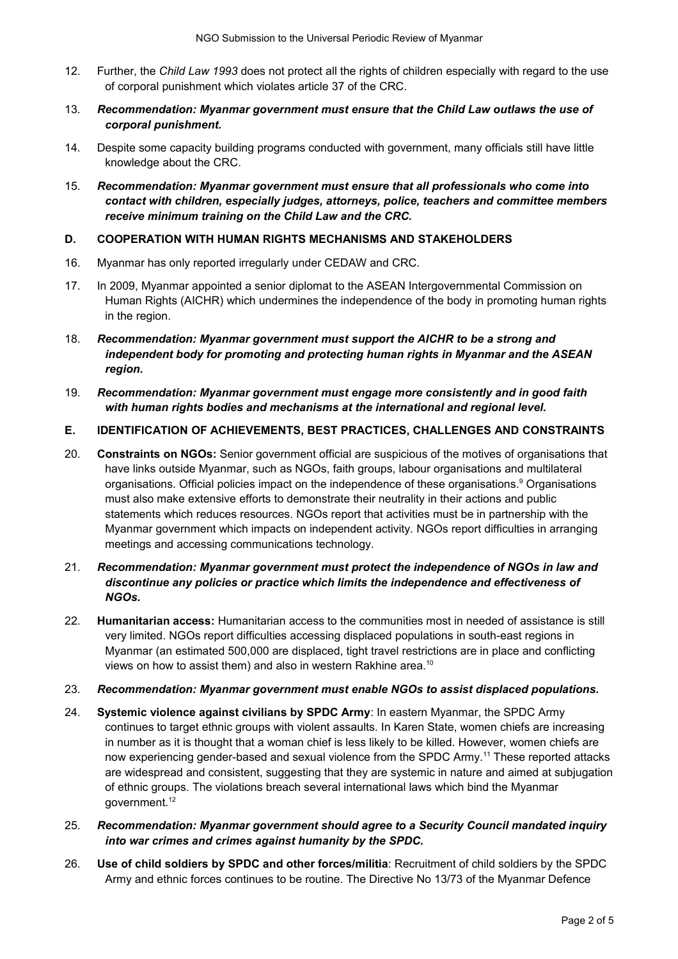- 12. Further, the *Child Law 1993* does not protect all the rights of children especially with regard to the use of corporal punishment which violates article 37 of the CRC.
- 13. *Recommendation: Myanmar government must ensure that the Child Law outlaws the use of corporal punishment.*
- 14. Despite some capacity building programs conducted with government, many officials still have little knowledge about the CRC.
- 15. *Recommendation: Myanmar government must ensure that all professionals who come into contact with children, especially judges, attorneys, police, teachers and committee members receive minimum training on the Child Law and the CRC.*

### **D. COOPERATION WITH HUMAN RIGHTS MECHANISMS AND STAKEHOLDERS**

- 16. Myanmar has only reported irregularly under CEDAW and CRC.
- 17. In 2009, Myanmar appointed a senior diplomat to the ASEAN Intergovernmental Commission on Human Rights (AICHR) which undermines the independence of the body in promoting human rights in the region.
- 18. *Recommendation: Myanmar government must support the AICHR to be a strong and independent body for promoting and protecting human rights in Myanmar and the ASEAN region.*
- 19. *Recommendation: Myanmar government must engage more consistently and in good faith with human rights bodies and mechanisms at the international and regional level.*

#### **E. IDENTIFICATION OF ACHIEVEMENTS, BEST PRACTICES, CHALLENGES AND CONSTRAINTS**

- 20. **Constraints on NGOs:** Senior government official are suspicious of the motives of organisations that have links outside Myanmar, such as NGOs, faith groups, labour organisations and multilateral organisations. Official policies impact on the independence of these organisations.<sup>[9](#page-5-8)</sup> Organisations must also make extensive efforts to demonstrate their neutrality in their actions and public statements which reduces resources. NGOs report that activities must be in partnership with the Myanmar government which impacts on independent activity. NGOs report difficulties in arranging meetings and accessing communications technology.
- 21. *Recommendation: Myanmar government must protect the independence of NGOs in law and discontinue any policies or practice which limits the independence and effectiveness of NGOs.*
- 22. **Humanitarian access:** Humanitarian access to the communities most in needed of assistance is still very limited. NGOs report difficulties accessing displaced populations in south-east regions in Myanmar (an estimated 500,000 are displaced, tight travel restrictions are in place and conflicting views on how to assist them) and also in western Rakhine area.<sup>[10](#page-5-9)</sup>
- 23. *Recommendation: Myanmar government must enable NGOs to assist displaced populations.*
- 24. **Systemic violence against civilians by SPDC Army**: In eastern Myanmar, the SPDC Army continues to target ethnic groups with violent assaults. In Karen State, women chiefs are increasing in number as it is thought that a woman chief is less likely to be killed. However, women chiefs are now experiencing gender-based and sexual violence from the SPDC Army.[11](#page-5-10) These reported attacks are widespread and consistent, suggesting that they are systemic in nature and aimed at subjugation of ethnic groups. The violations breach several international laws which bind the Myanmar government.<sup>[12](#page-5-11)</sup>
- 25. *Recommendation: Myanmar government should agree to a Security Council mandated inquiry into war crimes and crimes against humanity by the SPDC.*
- 26. **Use of child soldiers by SPDC and other forces/militia**: Recruitment of child soldiers by the SPDC Army and ethnic forces continues to be routine. The Directive No 13/73 of the Myanmar Defence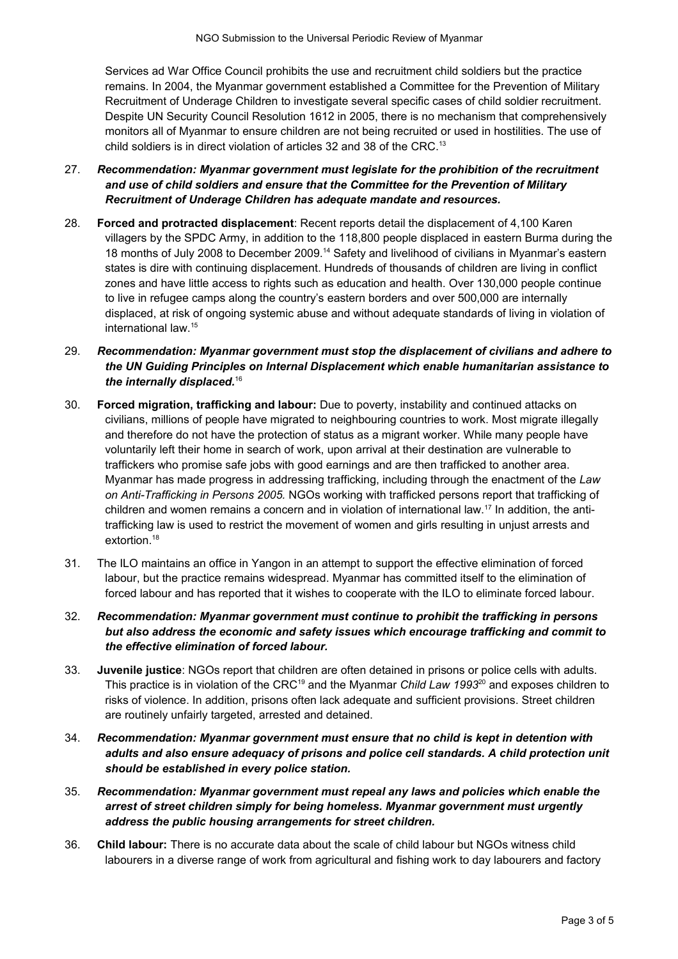Services ad War Office Council prohibits the use and recruitment child soldiers but the practice remains. In 2004, the Myanmar government established a Committee for the Prevention of Military Recruitment of Underage Children to investigate several specific cases of child soldier recruitment. Despite UN Security Council Resolution 1612 in 2005, there is no mechanism that comprehensively monitors all of Myanmar to ensure children are not being recruited or used in hostilities. The use of child soldiers is in direct violation of articles 32 and 38 of the CRC.<sup>[13](#page-5-12)</sup>

- 27. *Recommendation: Myanmar government must legislate for the prohibition of the recruitment and use of child soldiers and ensure that the Committee for the Prevention of Military Recruitment of Underage Children has adequate mandate and resources.*
- 28. **Forced and protracted displacement**: Recent reports detail the displacement of 4,100 Karen villagers by the SPDC Army, in addition to the 118,800 people displaced in eastern Burma during the 18 months of July 2008 to December 2009.[14](#page-5-13) Safety and livelihood of civilians in Myanmar's eastern states is dire with continuing displacement. Hundreds of thousands of children are living in conflict zones and have little access to rights such as education and health. Over 130,000 people continue to live in refugee camps along the country's eastern borders and over 500,000 are internally displaced, at risk of ongoing systemic abuse and without adequate standards of living in violation of international law.[15](#page-5-14)
- 29. *Recommendation: Myanmar government must stop the displacement of civilians and adhere to the UN Guiding Principles on Internal Displacement which enable humanitarian assistance to the internally displaced.*[16](#page-5-15)
- 30. **Forced migration, trafficking and labour:** Due to poverty, instability and continued attacks on civilians, millions of people have migrated to neighbouring countries to work. Most migrate illegally and therefore do not have the protection of status as a migrant worker. While many people have voluntarily left their home in search of work, upon arrival at their destination are vulnerable to traffickers who promise safe jobs with good earnings and are then trafficked to another area. Myanmar has made progress in addressing trafficking, including through the enactment of the *Law on Anti-Trafficking in Persons 2005.* NGOs working with trafficked persons report that trafficking of children and women remains a concern and in violation of international law.<sup>[17](#page-5-16)</sup> In addition, the antitrafficking law is used to restrict the movement of women and girls resulting in unjust arrests and extortion.<sup>[18](#page-5-17)</sup>
- 31. The ILO maintains an office in Yangon in an attempt to support the effective elimination of forced labour, but the practice remains widespread. Myanmar has committed itself to the elimination of forced labour and has reported that it wishes to cooperate with the ILO to eliminate forced labour.
- 32. *Recommendation: Myanmar government must continue to prohibit the trafficking in persons but also address the economic and safety issues which encourage trafficking and commit to the effective elimination of forced labour.*
- 33. **Juvenile justice**: NGOs report that children are often detained in prisons or police cells with adults. This practice is in violation of the CRC[19](#page-5-18) and the Myanmar *Child Law 1993*[20](#page-5-19) and exposes children to risks of violence. In addition, prisons often lack adequate and sufficient provisions. Street children are routinely unfairly targeted, arrested and detained.
- 34. *Recommendation: Myanmar government must ensure that no child is kept in detention with adults and also ensure adequacy of prisons and police cell standards. A child protection unit should be established in every police station.*
- 35. *Recommendation: Myanmar government must repeal any laws and policies which enable the arrest of street children simply for being homeless. Myanmar government must urgently address the public housing arrangements for street children.*
- 36. **Child labour:** There is no accurate data about the scale of child labour but NGOs witness child labourers in a diverse range of work from agricultural and fishing work to day labourers and factory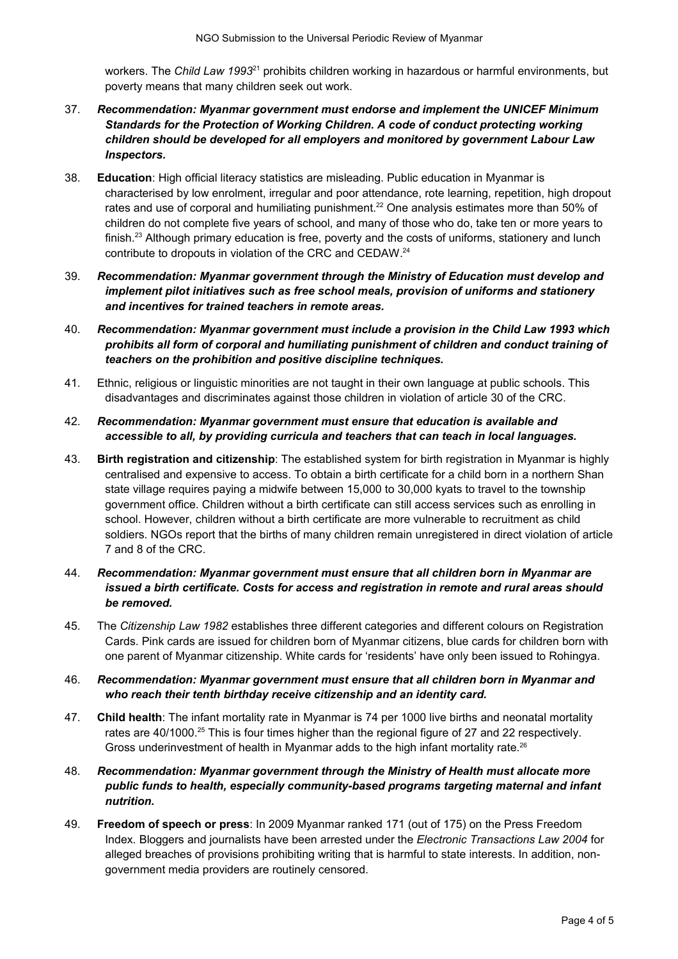workers. The *Child Law 1993*[21](#page-5-20) prohibits children working in hazardous or harmful environments, but poverty means that many children seek out work.

- 37. *Recommendation: Myanmar government must endorse and implement the UNICEF Minimum Standards for the Protection of Working Children. A code of conduct protecting working children should be developed for all employers and monitored by government Labour Law Inspectors.*
- 38. **Education**: High official literacy statistics are misleading. Public education in Myanmar is characterised by low enrolment, irregular and poor attendance, rote learning, repetition, high dropout rates and use of corporal and humiliating punishment.<sup>[22](#page-5-21)</sup> One analysis estimates more than 50% of children do not complete five years of school, and many of those who do, take ten or more years to finish.<sup>[23](#page-5-22)</sup> Although primary education is free, poverty and the costs of uniforms, stationery and lunch contribute to dropouts in violation of the CRC and CEDAW.[24](#page-5-23)
- 39. *Recommendation: Myanmar government through the Ministry of Education must develop and implement pilot initiatives such as free school meals, provision of uniforms and stationery and incentives for trained teachers in remote areas.*
- 40. *Recommendation: Myanmar government must include a provision in the Child Law 1993 which prohibits all form of corporal and humiliating punishment of children and conduct training of teachers on the prohibition and positive discipline techniques.*
- 41. Ethnic, religious or linguistic minorities are not taught in their own language at public schools. This disadvantages and discriminates against those children in violation of article 30 of the CRC.
- 42. *Recommendation: Myanmar government must ensure that education is available and accessible to all, by providing curricula and teachers that can teach in local languages.*
- 43. **Birth registration and citizenship**: The established system for birth registration in Myanmar is highly centralised and expensive to access. To obtain a birth certificate for a child born in a northern Shan state village requires paying a midwife between 15,000 to 30,000 kyats to travel to the township government office. Children without a birth certificate can still access services such as enrolling in school. However, children without a birth certificate are more vulnerable to recruitment as child soldiers. NGOs report that the births of many children remain unregistered in direct violation of article 7 and 8 of the CRC.
- 44. *Recommendation: Myanmar government must ensure that all children born in Myanmar are issued a birth certificate. Costs for access and registration in remote and rural areas should be removed.*
- 45. The *Citizenship Law 1982* establishes three different categories and different colours on Registration Cards. Pink cards are issued for children born of Myanmar citizens, blue cards for children born with one parent of Myanmar citizenship. White cards for 'residents' have only been issued to Rohingya.
- 46. *Recommendation: Myanmar government must ensure that all children born in Myanmar and who reach their tenth birthday receive citizenship and an identity card.*
- 47. **Child health**: The infant mortality rate in Myanmar is 74 per 1000 live births and neonatal mortality rates are 40/1000.<sup>[25](#page-5-24)</sup> This is four times higher than the regional figure of 27 and 22 respectively. Gross underinvestment of health in Myanmar adds to the high infant mortality rate.<sup>[26](#page-5-25)</sup>
- 48. *Recommendation: Myanmar government through the Ministry of Health must allocate more public funds to health, especially community-based programs targeting maternal and infant nutrition.*
- 49. **Freedom of speech or press**: In 2009 Myanmar ranked 171 (out of 175) on the Press Freedom Index. Bloggers and journalists have been arrested under the *Electronic Transactions Law 2004* for alleged breaches of provisions prohibiting writing that is harmful to state interests. In addition, nongovernment media providers are routinely censored.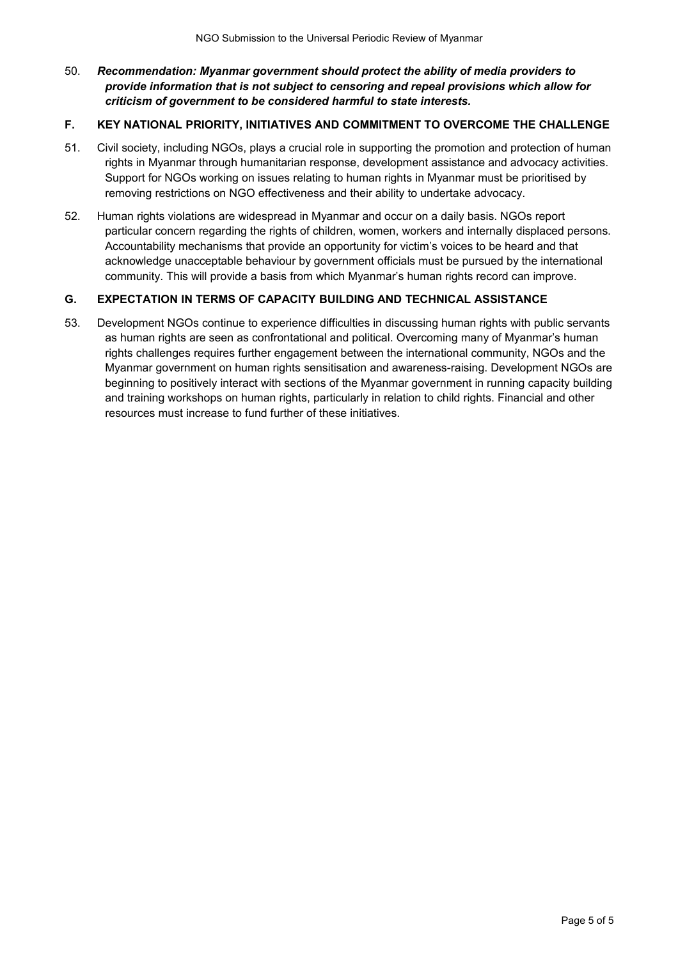# 50. *Recommendation: Myanmar government should protect the ability of media providers to provide information that is not subject to censoring and repeal provisions which allow for criticism of government to be considered harmful to state interests.*

### **F. KEY NATIONAL PRIORITY, INITIATIVES AND COMMITMENT TO OVERCOME THE CHALLENGE**

- 51. Civil society, including NGOs, plays a crucial role in supporting the promotion and protection of human rights in Myanmar through humanitarian response, development assistance and advocacy activities. Support for NGOs working on issues relating to human rights in Myanmar must be prioritised by removing restrictions on NGO effectiveness and their ability to undertake advocacy.
- 52. Human rights violations are widespread in Myanmar and occur on a daily basis. NGOs report particular concern regarding the rights of children, women, workers and internally displaced persons. Accountability mechanisms that provide an opportunity for victim's voices to be heard and that acknowledge unacceptable behaviour by government officials must be pursued by the international community. This will provide a basis from which Myanmar's human rights record can improve.

### **G. EXPECTATION IN TERMS OF CAPACITY BUILDING AND TECHNICAL ASSISTANCE**

53. Development NGOs continue to experience difficulties in discussing human rights with public servants as human rights are seen as confrontational and political. Overcoming many of Myanmar's human rights challenges requires further engagement between the international community, NGOs and the Myanmar government on human rights sensitisation and awareness-raising. Development NGOs are beginning to positively interact with sections of the Myanmar government in running capacity building and training workshops on human rights, particularly in relation to child rights. Financial and other resources must increase to fund further of these initiatives.